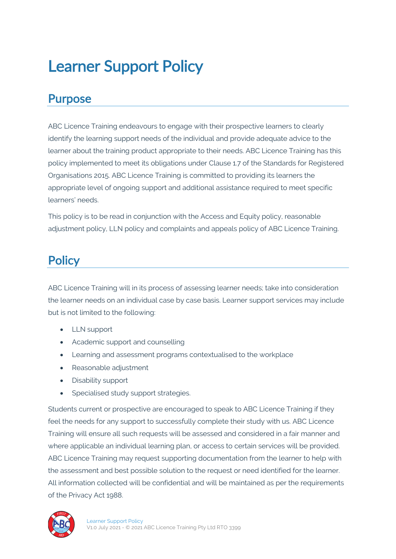# Learner Support Policy

#### Purpose

ABC Licence Training endeavours to engage with their prospective learners to clearly identify the learning support needs of the individual and provide adequate advice to the learner about the training product appropriate to their needs. ABC Licence Training has this policy implemented to meet its obligations under Clause 1.7 of the Standards for Registered Organisations 2015. ABC Licence Training is committed to providing its learners the appropriate level of ongoing support and additional assistance required to meet specific learners' needs.

This policy is to be read in conjunction with the Access and Equity policy, reasonable adjustment policy, LLN policy and complaints and appeals policy of ABC Licence Training.

## **Policy**

ABC Licence Training will in its process of assessing learner needs; take into consideration the learner needs on an individual case by case basis. Learner support services may include but is not limited to the following:

- LLN support
- Academic support and counselling
- Learning and assessment programs contextualised to the workplace
- Reasonable adjustment
- Disability support
- Specialised study support strategies.

Students current or prospective are encouraged to speak to ABC Licence Training if they feel the needs for any support to successfully complete their study with us. ABC Licence Training will ensure all such requests will be assessed and considered in a fair manner and where applicable an individual learning plan, or access to certain services will be provided. ABC Licence Training may request supporting documentation from the learner to help with the assessment and best possible solution to the request or need identified for the learner. All information collected will be confidential and will be maintained as per the requirements of the Privacy Act 1988.

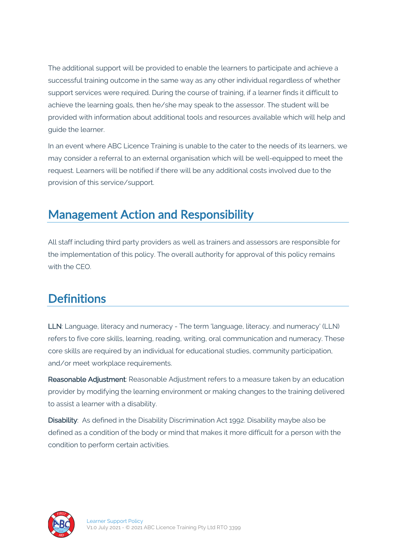The additional support will be provided to enable the learners to participate and achieve a successful training outcome in the same way as any other individual regardless of whether support services were required. During the course of training, if a learner finds it difficult to achieve the learning goals, then he/she may speak to the assessor. The student will be provided with information about additional tools and resources available which will help and guide the learner.

In an event where ABC Licence Training is unable to the cater to the needs of its learners, we may consider a referral to an external organisation which will be well-equipped to meet the request. Learners will be notified if there will be any additional costs involved due to the provision of this service/support.

### Management Action and Responsibility

All staff including third party providers as well as trainers and assessors are responsible for the implementation of this policy. The overall authority for approval of this policy remains with the CEO.

#### **Definitions**

LLN: Language, literacy and numeracy - The term 'language, literacy. and numeracy' (LLN) refers to five core skills, learning, reading, writing, oral communication and numeracy. These core skills are required by an individual for educational studies, community participation, and/or meet workplace requirements.

Reasonable Adjustment: Reasonable Adjustment refers to a measure taken by an education provider by modifying the learning environment or making changes to the training delivered to assist a learner with a disability.

Disability: As defined in the Disability Discrimination Act 1992. Disability maybe also be defined as a condition of the body or mind that makes it more difficult for a person with the condition to perform certain activities.